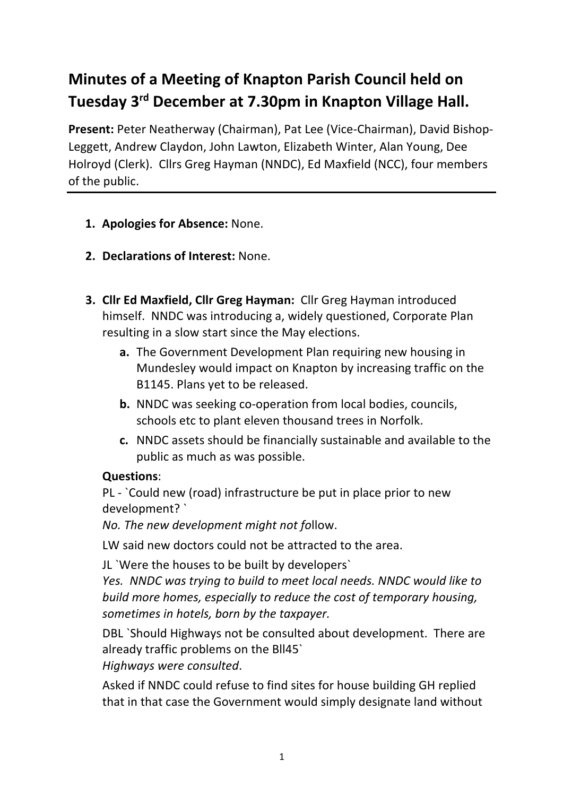# **Minutes of a Meeting of Knapton Parish Council held on Tuesday 3rd December at 7.30pm in Knapton Village Hall.**

**Present:** Peter Neatherway (Chairman), Pat Lee (Vice-Chairman), David Bishop-Leggett, Andrew Claydon, John Lawton, Elizabeth Winter, Alan Young, Dee Holroyd (Clerk). Cllrs Greg Hayman (NNDC), Ed Maxfield (NCC), four members of the public.

- **1. Apologies for Absence:** None.
- **2. Declarations of Interest:** None.
- **3. Cllr Ed Maxfield, Cllr Greg Hayman:** Cllr Greg Hayman introduced himself.NNDC was introducing a, widely questioned, Corporate Plan resulting in a slow start since the May elections.
	- **a.** The Government Development Plan requiring new housing in Mundesley would impact on Knapton by increasing traffic on the B1145. Plans yet to be released.
	- **b.** NNDC was seeking co-operation from local bodies, councils, schools etc to plant eleven thousand trees in Norfolk.
	- **c.** NNDC assets should be financially sustainable and available to the public as much as was possible.

#### **Questions**:

PL - `Could new (road) infrastructure be put in place prior to new development? `

*No. The new development might not fo*llow.

LW said new doctors could not be attracted to the area.

JL `Were the houses to be built by developers`

*Yes. NNDC was trying to build to meet local needs. NNDC would like to build more homes, especially to reduce the cost of temporary housing, sometimes in hotels, born by the taxpayer.*

DBL `Should Highways not be consulted about development. There are already traffic problems on the Bll45`

*Highways were consulted*.

Asked if NNDC could refuse to find sites for house building GH replied that in that case the Government would simply designate land without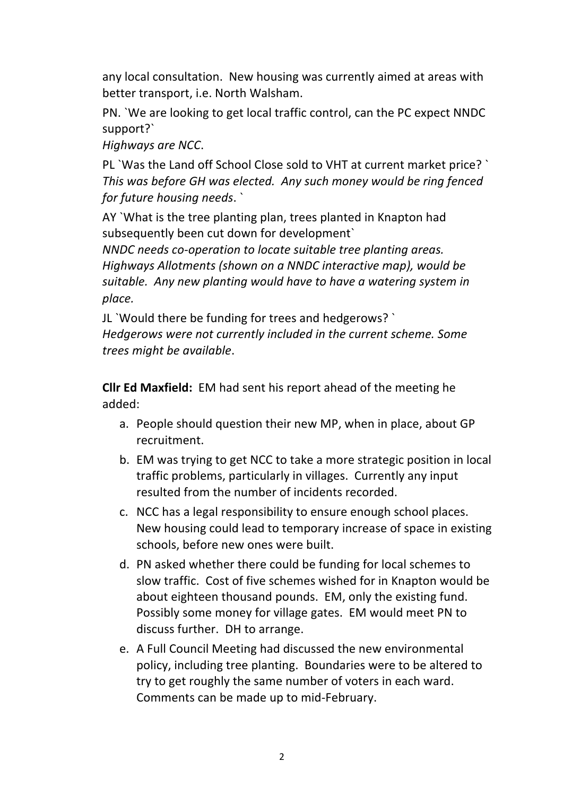any local consultation. New housing was currently aimed at areas with better transport, i.e. North Walsham.

PN. `We are looking to get local traffic control, can the PC expect NNDC support?`

*Highways are NCC*.

PL `Was the Land off School Close sold to VHT at current market price? ` *This was before GH was elected. Any such money would be ring fenced for future housing needs*. `

AY `What is the tree planting plan, trees planted in Knapton had subsequently been cut down for development`

*NNDC needs co-operation to locate suitable tree planting areas. Highways Allotments (shown on a NNDC interactive map), would be suitable. Any new planting would have to have a watering system in place.*

JL `Would there be funding for trees and hedgerows? ` *Hedgerows were not currently included in the current scheme. Some trees might be available*.

**Cllr Ed Maxfield:** EM had sent his report ahead of the meeting he added:

- a. People should question their new MP, when in place, about GP recruitment.
- b. EM was trying to get NCC to take a more strategic position in local traffic problems, particularly in villages. Currently any input resulted from the number of incidents recorded.
- c. NCC has a legal responsibility to ensure enough school places. New housing could lead to temporary increase of space in existing schools, before new ones were built.
- d. PN asked whether there could be funding for local schemes to slow traffic. Cost of five schemes wished for in Knapton would be about eighteen thousand pounds. EM, only the existing fund. Possibly some money for village gates. EM would meet PN to discuss further. DH to arrange.
- e. A Full Council Meeting had discussed the new environmental policy, including tree planting. Boundaries were to be altered to try to get roughly the same number of voters in each ward. Comments can be made up to mid-February.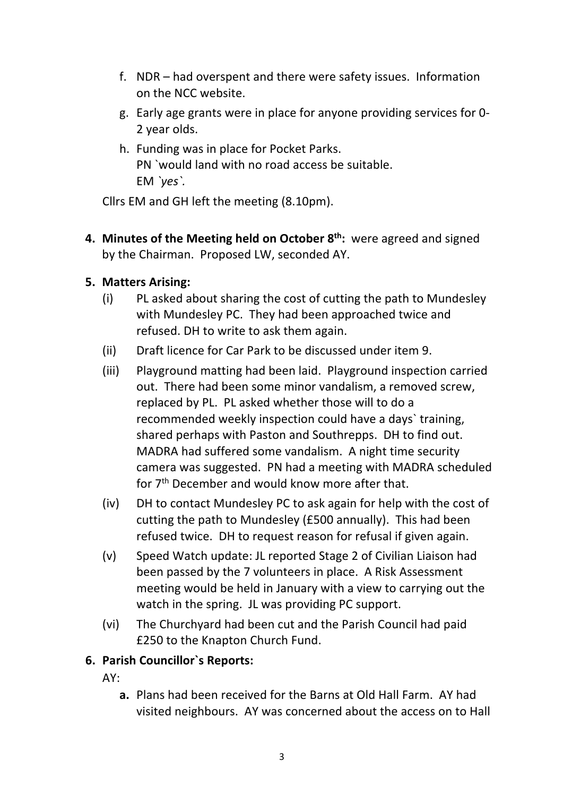- f. NDR had overspent and there were safety issues. Information on the NCC website.
- g. Early age grants were in place for anyone providing services for 0- 2 year olds.
- h. Funding was in place for Pocket Parks. PN `would land with no road access be suitable. EM *`yes`.*

Cllrs EM and GH left the meeting (8.10pm).

**4. Minutes of the Meeting held on October 8th:** were agreed and signed by the Chairman. Proposed LW, seconded AY.

### **5. Matters Arising:**

- (i) PL asked about sharing the cost of cutting the path to Mundesley with Mundesley PC. They had been approached twice and refused. DH to write to ask them again.
- (ii) Draft licence for Car Park to be discussed under item 9.
- (iii) Playground matting had been laid. Playground inspection carried out. There had been some minor vandalism, a removed screw, replaced by PL. PL asked whether those will to do a recommended weekly inspection could have a days` training, shared perhaps with Paston and Southrepps. DH to find out. MADRA had suffered some vandalism. A night time security camera was suggested. PN had a meeting with MADRA scheduled for 7th December and would know more after that.
- (iv) DH to contact Mundesley PC to ask again for help with the cost of cutting the path to Mundesley (£500 annually). This had been refused twice. DH to request reason for refusal if given again.
- (v) Speed Watch update: JL reported Stage 2 of Civilian Liaison had been passed by the 7 volunteers in place. A Risk Assessment meeting would be held in January with a view to carrying out the watch in the spring. JL was providing PC support.
- (vi) The Churchyard had been cut and the Parish Council had paid £250 to the Knapton Church Fund.

# **6. Parish Councillor`s Reports:**

AY:

**a.** Plans had been received for the Barns at Old Hall Farm. AY had visited neighbours. AY was concerned about the access on to Hall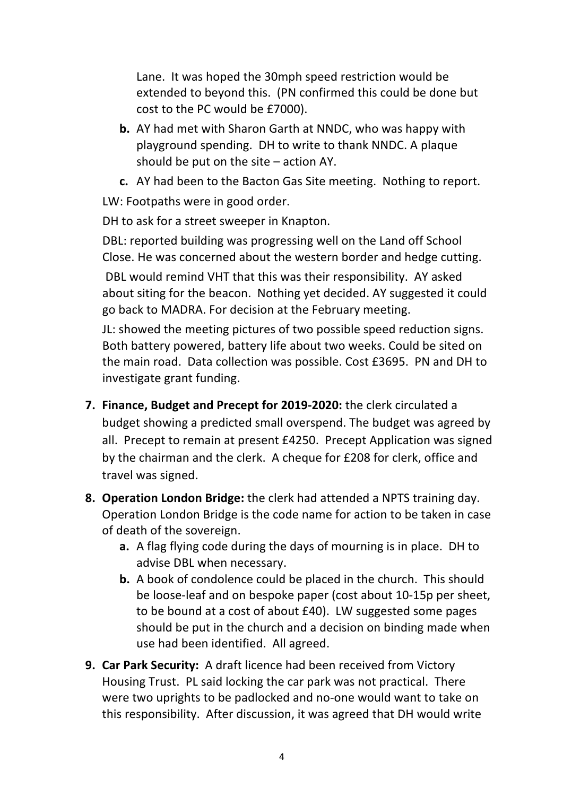Lane. It was hoped the 30mph speed restriction would be extended to beyond this. (PN confirmed this could be done but cost to the PC would be £7000).

- **b.** AY had met with Sharon Garth at NNDC, who was happy with playground spending. DH to write to thank NNDC. A plaque should be put on the site – action AY.
- **c.** AY had been to the Bacton Gas Site meeting. Nothing to report.

LW: Footpaths were in good order.

DH to ask for a street sweeper in Knapton.

DBL: reported building was progressing well on the Land off School Close. He was concerned about the western border and hedge cutting.

DBL would remind VHT that this was their responsibility. AY asked about siting for the beacon. Nothing yet decided. AY suggested it could go back to MADRA. For decision at the February meeting.

JL: showed the meeting pictures of two possible speed reduction signs. Both battery powered, battery life about two weeks. Could be sited on the main road. Data collection was possible. Cost £3695. PN and DH to investigate grant funding.

- **7. Finance, Budget and Precept for 2019-2020:** the clerk circulated a budget showing a predicted small overspend. The budget was agreed by all. Precept to remain at present £4250. Precept Application was signed by the chairman and the clerk. A cheque for £208 for clerk, office and travel was signed.
- **8. Operation London Bridge:** the clerk had attended a NPTS training day. Operation London Bridge is the code name for action to be taken in case of death of the sovereign.
	- **a.** A flag flying code during the days of mourning is in place. DH to advise DBL when necessary.
	- **b.** A book of condolence could be placed in the church. This should be loose-leaf and on bespoke paper (cost about 10-15p per sheet, to be bound at a cost of about £40). LW suggested some pages should be put in the church and a decision on binding made when use had been identified. All agreed.
- **9. Car Park Security:** A draft licence had been received from Victory Housing Trust. PL said locking the car park was not practical. There were two uprights to be padlocked and no-one would want to take on this responsibility.After discussion, it was agreed that DH would write